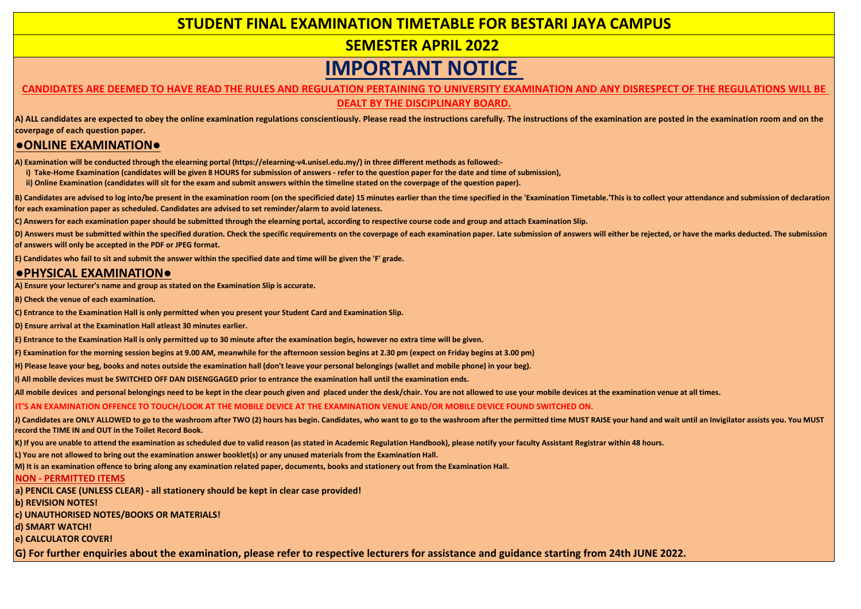## **STUDENT FINAL EXAMINATION TIMETABLE FOR BESTARI JAYA CAMPUS**

### **SEMESTER APRIL 2022**

# **IMPORTANT NOTICE**

# **CANDIDATES ARE DEEMED TO HAVE READ THE RULES AND REGULATION PERTAINING TO UNIVERSITY EXAMINATION AND ANY DISRESPECT OF THE REGULATIONS WILL BE**

**DEALT BY THE DISCIPLINARY BOARD.**

**A) ALL candidates are expected to obey the online examination regulations conscientiously. Please read the instructions carefully. The instructions of the examination are posted in the examination room and on the coverpage of each question paper.**

#### **●ONLINE EXAMINATION●**

**A) Examination will be conducted through the elearning portal (https://elearning-v4.unisel.edu.my/) in three different methods as followed:-** 

**i)** Take-Home Examination (candidates will be given 8 HOURS for submission of answers - refer to the question paper for the date and time of submission),

 **ii) Online Examination (candidates will sit for the exam and submit answers within the timeline stated on the coverpage of the question paper).**

B) Candidates are advised to log into/be present in the examination room (on the specificied date) 15 minutes earlier than the time specified in the 'Examination Timetable.'This is to collect your attendance and submission **for each examination paper as scheduled. Candidates are advised to set reminder/alarm to avoid lateness.**

**C) Answers for each examination paper should be submitted through the elearning portal, according to respective course code and group and attach Examination Slip.**

D) Answers must be submitted within the specified duration. Check the specific requirements on the coverpage of each examination paper. Late submission of answers will either be rejected, or have the marks deducted. The su **of answers will only be accepted in the PDF or JPEG format.** 

**E) Candidates who fail to sit and submit the answer within the specified date and time will be given the 'F' grade.**

### **●PHYSICAL EXAMINATION●**

**A) Ensure your lecturer's name and group as stated on the Examination Slip is accurate.**

**B) Check the venue of each examination.**

**C) Entrance to the Examination Hall is only permitted when you present your Student Card and Examination Slip.**

**D) Ensure arrival at the Examination Hall atleast 30 minutes earlier.**

**E) Entrance to the Examination Hall is only permitted up to 30 minute after the examination begin, however no extra time will be given.**

**F) Examination for the morning session begins at 9.00 AM, meanwhile for the afternoon session begins at 2.30 pm (expect on Friday begins at 3.00 pm)**

**H) Please leave your beg, books and notes outside the examination hall (don't leave your personal belongings (wallet and mobile phone) in your beg).**

**I) All mobile devices must be SWITCHED OFF DAN DISENGGAGED prior to entrance the examination hall until the examination ends.** 

**All mobile devices and personal belongings need to be kept in the clear pouch given and placed under the desk/chair. You are not allowed to use your mobile devices at the examination venue at all times.**

**IT'S AN EXAMINATION OFFENCE TO TOUCH/LOOK AT THE MOBILE DEVICE AT THE EXAMINATION VENUE AND/OR MOBILE DEVICE FOUND SWITCHED ON.**

J) Candidates are ONLY ALLOWED to go to the washroom after TWO (2) hours has begin. Candidates, who want to go to the washroom after the permitted time MUST RAISE your hand and wait until an Invigilator assists you. You MU **record the TIME IN and OUT in the Toilet Record Book.** 

**K) If you are unable to attend the examination as scheduled due to valid reason (as stated in Academic Regulation Handbook), please notify your faculty Assistant Registrar within 48 hours.**

**L) You are not allowed to bring out the examination answer booklet(s) or any unused materials from the Examination Hall.**

**M) It is an examination offence to bring along any examination related paper, documents, books and stationery out from the Examination Hall.**

#### **NON - PERMITTED ITEMS**

**c) UNAUTHORISED NOTES/BOOKS OR MATERIALS! d) SMART WATCH! e) CALCULATOR COVER! b) REVISION NOTES! a) PENCIL CASE (UNLESS CLEAR) - all stationery should be kept in clear case provided!**

**G) For further enquiries about the examination, please refer to respective lecturers for assistance and guidance starting from 24th JUNE 2022.**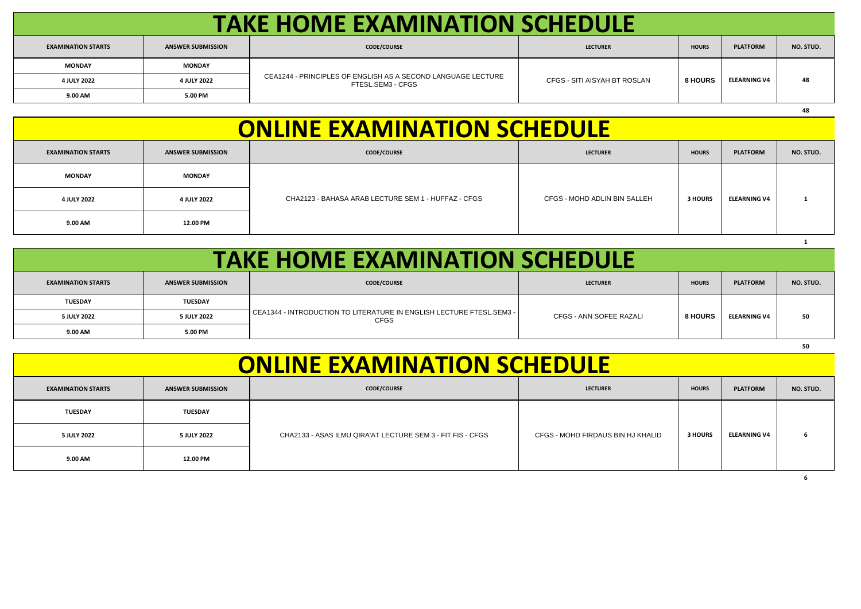| <b>TAKE HOME EXAMINATION SCHEDULE</b> |                          |                                                                                   |                              |                |                     |           |  |  |
|---------------------------------------|--------------------------|-----------------------------------------------------------------------------------|------------------------------|----------------|---------------------|-----------|--|--|
| <b>EXAMINATION STARTS</b>             | <b>ANSWER SUBMISSION</b> | <b>CODE/COURSE</b>                                                                | <b>LECTURER</b>              | <b>HOURS</b>   | <b>PLATFORM</b>     | NO. STUD. |  |  |
| <b>MONDAY</b>                         | <b>MONDAY</b>            | CEA1244 - PRINCIPLES OF ENGLISH AS A SECOND LANGUAGE LECTURE<br>FTESL.SEM3 - CFGS | CFGS - SITI AISYAH BT ROSLAN | <b>8 HOURS</b> | <b>ELEARNING V4</b> |           |  |  |
| 4 JULY 2022                           | 4 JULY 2022              |                                                                                   |                              |                |                     | 48        |  |  |
| 9.00 AM                               | 5.00 PM                  |                                                                                   |                              |                |                     |           |  |  |

| <b>ONLINE EXAMINATION SCHEDULE</b> |                          |                                                     |                              |              |                     |           |  |  |
|------------------------------------|--------------------------|-----------------------------------------------------|------------------------------|--------------|---------------------|-----------|--|--|
| <b>EXAMINATION STARTS</b>          | <b>ANSWER SUBMISSION</b> | <b>CODE/COURSE</b>                                  | <b>LECTURER</b>              | <b>HOURS</b> | <b>PLATFORM</b>     | NO. STUD. |  |  |
| <b>MONDAY</b>                      | <b>MONDAY</b>            |                                                     |                              |              |                     |           |  |  |
| 4 JULY 2022                        | 4 JULY 2022              | CHA2123 - BAHASA ARAB LECTURE SEM 1 - HUFFAZ - CFGS | CFGS - MOHD ADLIN BIN SALLEH | 3 HOURS      | <b>ELEARNING V4</b> |           |  |  |
| 9.00 AM                            | 12.00 PM                 |                                                     |                              |              |                     |           |  |  |

|  |  | <b>TAKE HOME EXAMINATION SCHEDULE</b> |  |
|--|--|---------------------------------------|--|
|  |  |                                       |  |

| <b>EXAMINATION STARTS</b> | <b>ANSWER SUBMISSION</b> | <b>CODE/COURSE</b>                                                                  | <b>LECTURER</b>         | <b>HOURS</b>   | <b>PLATFORM</b>     | NO. STUD. |
|---------------------------|--------------------------|-------------------------------------------------------------------------------------|-------------------------|----------------|---------------------|-----------|
| TUESDAY                   | <b>TUESDAY</b>           | . CEA1344 - INTRODUCTION TO LITERATURE IN ENGLISH LECTURE FTESL.SEM3<br><b>CFGS</b> | CFGS - ANN SOFEE RAZALI | <b>8 HOURS</b> | <b>ELEARNING V4</b> | 50        |
| 5 JULY 2022               | 5 JULY 2022              |                                                                                     |                         |                |                     |           |
| 9.00 AM                   | 5.00 PM                  |                                                                                     |                         |                |                     |           |

|                                    |                          |                                                            |                                   |                |                     | 50        |  |  |
|------------------------------------|--------------------------|------------------------------------------------------------|-----------------------------------|----------------|---------------------|-----------|--|--|
| <b>ONLINE EXAMINATION SCHEDULE</b> |                          |                                                            |                                   |                |                     |           |  |  |
| <b>EXAMINATION STARTS</b>          | <b>ANSWER SUBMISSION</b> | <b>CODE/COURSE</b>                                         | <b>LECTURER</b>                   | <b>HOURS</b>   | <b>PLATFORM</b>     | NO. STUD. |  |  |
| <b>TUESDAY</b>                     | <b>TUESDAY</b>           | CHA2133 - ASAS ILMU QIRA'AT LECTURE SEM 3 - FIT.FIS - CFGS | CFGS - MOHD FIRDAUS BIN HJ KHALID | <b>3 HOURS</b> | <b>ELEARNING V4</b> |           |  |  |
| 5 JULY 2022                        | 5 JULY 2022              |                                                            |                                   |                |                     | 6         |  |  |
| 9.00 AM                            | 12.00 PM                 |                                                            |                                   |                |                     |           |  |  |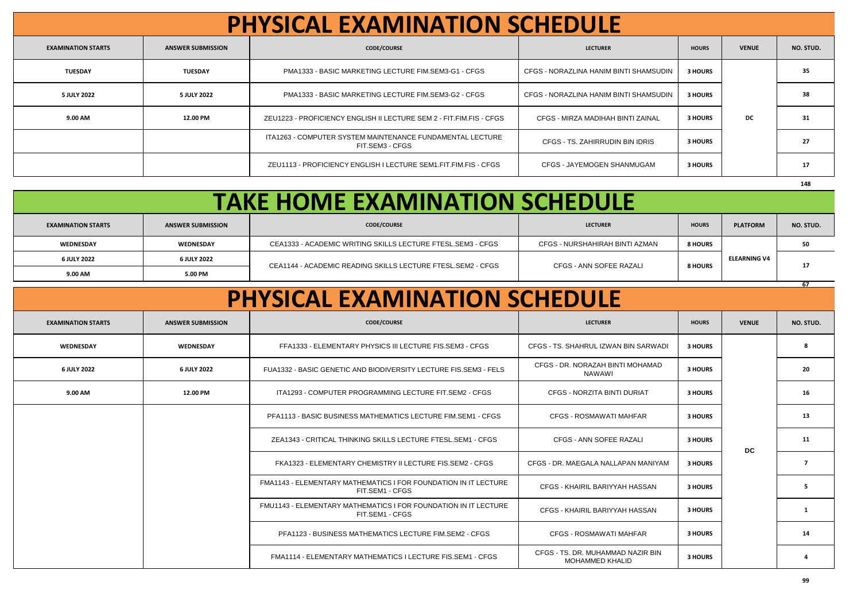| <b>PHYSICAL EXAMINATION SCHEDULE</b> |                          |                                                                              |                                        |                |              |           |  |  |
|--------------------------------------|--------------------------|------------------------------------------------------------------------------|----------------------------------------|----------------|--------------|-----------|--|--|
| <b>EXAMINATION STARTS</b>            | <b>ANSWER SUBMISSION</b> | <b>CODE/COURSE</b>                                                           | <b>LECTURER</b>                        | <b>HOURS</b>   | <b>VENUE</b> | NO. STUD. |  |  |
| <b>TUESDAY</b>                       | <b>TUESDAY</b>           | PMA1333 - BASIC MARKETING LECTURE FIM.SEM3-G1 - CFGS                         | CFGS - NORAZLINA HANIM BINTI SHAMSUDIN | <b>3 HOURS</b> |              | 35        |  |  |
| 5 JULY 2022                          | 5 JULY 2022              | PMA1333 - BASIC MARKETING LECTURE FIM.SEM3-G2 - CFGS                         | CFGS - NORAZLINA HANIM BINTI SHAMSUDIN | 3 HOURS        |              | 38        |  |  |
| 9.00 AM                              | 12.00 PM                 | ZEU1223 - PROFICIENCY ENGLISH II LECTURE SEM 2 - FIT.FIM.FIS - CFGS          | CFGS - MIRZA MADIHAH BINTI ZAINAL      | <b>3 HOURS</b> | DC           | 31        |  |  |
|                                      |                          | ITA1263 - COMPUTER SYSTEM MAINTENANCE FUNDAMENTAL LECTURE<br>FIT.SEM3 - CFGS | CFGS - TS. ZAHIRRUDIN BIN IDRIS        | 3 HOURS        |              | 27        |  |  |
|                                      |                          | ZEU1113 - PROFICIENCY ENGLISH I LECTURE SEM1.FIT.FIM.FIS - CFGS              | CFGS - JAYEMOGEN SHANMUGAM             | <b>3 HOURS</b> |              | 17        |  |  |
|                                      |                          |                                                                              |                                        |                |              | 148       |  |  |

| <b>TAKE HOME EXAMINATION SCHEDULE</b> |                          |                                                             |                                |                |                     |           |  |  |  |
|---------------------------------------|--------------------------|-------------------------------------------------------------|--------------------------------|----------------|---------------------|-----------|--|--|--|
| <b>EXAMINATION STARTS</b>             | <b>ANSWER SUBMISSION</b> | <b>CODE/COURSE</b>                                          | <b>LECTURER</b>                | <b>HOURS</b>   | <b>PLATFORM</b>     | NO. STUD. |  |  |  |
| WEDNESDAY                             | WEDNESDAY                | CEA1333 - ACADEMIC WRITING SKILLS LECTURE FTESL.SEM3 - CFGS | CFGS - NURSHAHIRAH BINTI AZMAN | 8 HOURS        |                     |           |  |  |  |
| 6 JULY 2022                           | 6 JULY 2022              | CEA1144 - ACADEMIC READING SKILLS LECTURE FTESL.SEM2 - CFGS | CFGS - ANN SOFEE RAZALI        | <b>8 HOURS</b> | <b>ELEARNING V4</b> |           |  |  |  |
| 9.00 AM                               | 5.00 PM                  |                                                             |                                |                |                     | -17       |  |  |  |

| <b>PHYSICAL EXAMINATION SCHEDULE</b> |                          |                                                                                    |                                                             |                |              |           |  |  |  |
|--------------------------------------|--------------------------|------------------------------------------------------------------------------------|-------------------------------------------------------------|----------------|--------------|-----------|--|--|--|
| <b>EXAMINATION STARTS</b>            | <b>ANSWER SUBMISSION</b> | <b>CODE/COURSE</b>                                                                 | <b>LECTURER</b>                                             | <b>HOURS</b>   | <b>VENUE</b> | NO. STUD. |  |  |  |
| WEDNESDAY                            | WEDNESDAY                | FFA1333 - ELEMENTARY PHYSICS III LECTURE FIS.SEM3 - CFGS                           | CFGS - TS. SHAHRUL IZWAN BIN SARWADI                        | 3 HOURS        |              |           |  |  |  |
| 6 JULY 2022                          | 6 JULY 2022              | FUA1332 - BASIC GENETIC AND BIODIVERSITY LECTURE FIS.SEM3 - FELS                   | CFGS - DR. NORAZAH BINTI MOHAMAD<br><b>NAWAWI</b>           | 3 HOURS        |              | 20        |  |  |  |
| 9.00 AM                              | 12.00 PM                 | ITA1293 - COMPUTER PROGRAMMING LECTURE FIT.SEM2 - CFGS                             | <b>CFGS - NORZITA BINTI DURIAT</b>                          | 3 HOURS        |              | 16        |  |  |  |
|                                      |                          | PFA1113 - BASIC BUSINESS MATHEMATICS LECTURE FIM.SEM1 - CFGS                       | CFGS - ROSMAWATI MAHFAR                                     | 3 HOURS        |              | 13        |  |  |  |
|                                      |                          | ZEA1343 - CRITICAL THINKING SKILLS LECTURE FTESL.SEM1 - CFGS                       | CFGS - ANN SOFEE RAZALI                                     | 3 HOURS        | <b>DC</b>    | 11        |  |  |  |
|                                      |                          | FKA1323 - ELEMENTARY CHEMISTRY II LECTURE FIS.SEM2 - CFGS                          | CFGS - DR. MAEGALA NALLAPAN MANIYAM                         | 3 HOURS        |              |           |  |  |  |
|                                      |                          | FMA1143 - ELEMENTARY MATHEMATICS I FOR FOUNDATION IN IT LECTURE<br>FIT.SEM1 - CFGS | CFGS - KHAIRIL BARIYYAH HASSAN                              | 3 HOURS        |              |           |  |  |  |
|                                      |                          | FMU1143 - ELEMENTARY MATHEMATICS I FOR FOUNDATION IN IT LECTURE<br>FIT.SEM1 - CFGS | CFGS - KHAIRIL BARIYYAH HASSAN                              | 3 HOURS        |              |           |  |  |  |
|                                      |                          | PFA1123 - BUSINESS MATHEMATICS LECTURE FIM.SEM2 - CFGS                             | <b>CFGS - ROSMAWATI MAHFAR</b>                              | 3 HOURS        |              | 14        |  |  |  |
|                                      |                          | FMA1114 - ELEMENTARY MATHEMATICS I LECTURE FIS.SEM1 - CFGS                         | CFGS - TS. DR. MUHAMMAD NAZIR BIN<br><b>MOHAMMED KHALID</b> | <b>3 HOURS</b> |              |           |  |  |  |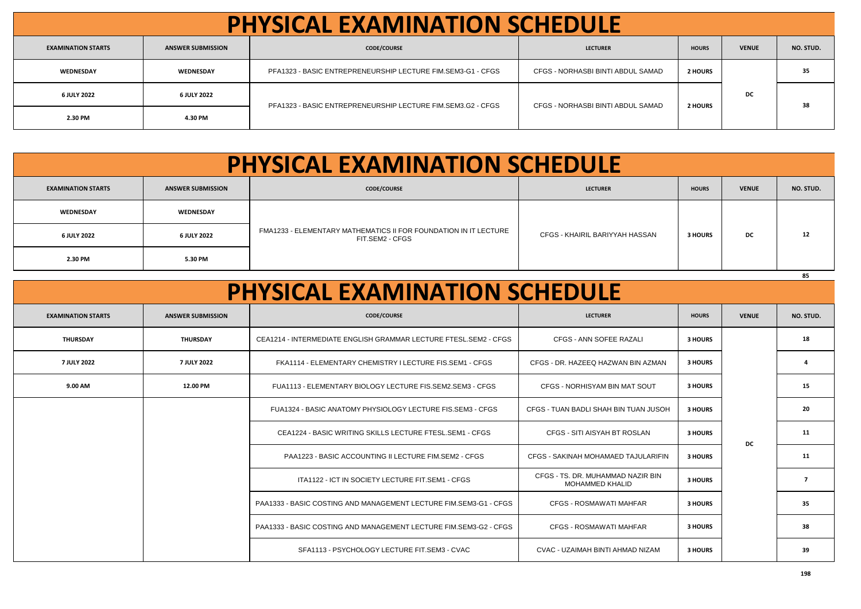| <b>PHYSICAL EXAMINATION SCHEDULE</b> |                          |                                                             |                                   |                |              |           |  |  |
|--------------------------------------|--------------------------|-------------------------------------------------------------|-----------------------------------|----------------|--------------|-----------|--|--|
| <b>EXAMINATION STARTS</b>            | <b>ANSWER SUBMISSION</b> | <b>CODE/COURSE</b>                                          | <b>LECTURER</b>                   | <b>HOURS</b>   | <b>VENUE</b> | NO. STUD. |  |  |
| WEDNESDAY                            | WEDNESDAY                | PFA1323 - BASIC ENTREPRENEURSHIP LECTURE FIM.SEM3-G1 - CFGS | CFGS - NORHASBI BINTI ABDUL SAMAD | <b>2 HOURS</b> | DC           | 35        |  |  |
| 6 JULY 2022                          | 6 JULY 2022              |                                                             | CFGS - NORHASBI BINTI ABDUL SAMAD | <b>2 HOURS</b> |              | 38        |  |  |
| 2.30 PM                              | 4.30 PM                  | PFA1323 - BASIC ENTREPRENEURSHIP LECTURE FIM.SEM3.G2 - CFGS |                                   |                |              |           |  |  |

| <b>PHYSICAL EXAMINATION SCHEDULE</b> |                          |                                                                                     |                                |                |              |           |  |  |  |
|--------------------------------------|--------------------------|-------------------------------------------------------------------------------------|--------------------------------|----------------|--------------|-----------|--|--|--|
| <b>EXAMINATION STARTS</b>            | <b>ANSWER SUBMISSION</b> | <b>CODE/COURSE</b>                                                                  | <b>LECTURER</b>                | <b>HOURS</b>   | <b>VENUE</b> | NO. STUD. |  |  |  |
| WEDNESDAY                            | WEDNESDAY                | FMA1233 - ELEMENTARY MATHEMATICS II FOR FOUNDATION IN IT LECTURE<br>FIT.SEM2 - CFGS | CFGS - KHAIRIL BARIYYAH HASSAN | <b>3 HOURS</b> | DC           | 12        |  |  |  |
| 6 JULY 2022                          | 6 JULY 2022              |                                                                                     |                                |                |              |           |  |  |  |
| 2.30 PM                              | 5.30 PM                  |                                                                                     |                                |                |              |           |  |  |  |
|                                      |                          |                                                                                     |                                |                |              | 85        |  |  |  |

| <b>PHYSICAL EXAMINATION SCHEDULE</b> |                          |                                                                   |                                                             |                |              |                |  |  |
|--------------------------------------|--------------------------|-------------------------------------------------------------------|-------------------------------------------------------------|----------------|--------------|----------------|--|--|
| <b>EXAMINATION STARTS</b>            | <b>ANSWER SUBMISSION</b> | <b>CODE/COURSE</b>                                                | <b>LECTURER</b>                                             | <b>HOURS</b>   | <b>VENUE</b> | NO. STUD.      |  |  |
| <b>THURSDAY</b>                      | <b>THURSDAY</b>          | CEA1214 - INTERMEDIATE ENGLISH GRAMMAR LECTURE FTESL.SEM2 - CFGS  | CFGS - ANN SOFEE RAZALI                                     | 3 HOURS        |              | 18             |  |  |
| 7 JULY 2022                          | 7 JULY 2022              | FKA1114 - ELEMENTARY CHEMISTRY I LECTURE FIS.SEM1 - CFGS          | CFGS - DR. HAZEEQ HAZWAN BIN AZMAN                          | 3 HOURS        |              | $\mathbf{a}$   |  |  |
| 9.00 AM                              | 12.00 PM                 | FUA1113 - ELEMENTARY BIOLOGY LECTURE FIS.SEM2.SEM3 - CFGS         | CFGS - NORHISYAM BIN MAT SOUT                               | 3 HOURS        |              | 15             |  |  |
|                                      |                          | FUA1324 - BASIC ANATOMY PHYSIOLOGY LECTURE FIS.SEM3 - CFGS        | CFGS - TUAN BADLI SHAH BIN TUAN JUSOH                       | 3 HOURS        |              | 20             |  |  |
|                                      |                          | CEA1224 - BASIC WRITING SKILLS LECTURE FTESL.SEM1 - CFGS          | CFGS - SITI AISYAH BT ROSLAN                                | 3 HOURS        | DC           | 11             |  |  |
|                                      |                          | PAA1223 - BASIC ACCOUNTING II LECTURE FIM.SEM2 - CFGS             | CFGS - SAKINAH MOHAMAED TAJULARIFIN                         | <b>3 HOURS</b> |              | 11             |  |  |
|                                      |                          | ITA1122 - ICT IN SOCIETY LECTURE FIT.SEM1 - CFGS                  | CFGS - TS. DR. MUHAMMAD NAZIR BIN<br><b>MOHAMMED KHALID</b> | 3 HOURS        |              | $\overline{ }$ |  |  |
|                                      |                          | PAA1333 - BASIC COSTING AND MANAGEMENT LECTURE FIM.SEM3-G1 - CFGS | CFGS - ROSMAWATI MAHFAR                                     | 3 HOURS        |              | 35             |  |  |
|                                      |                          | PAA1333 - BASIC COSTING AND MANAGEMENT LECTURE FIM.SEM3-G2 - CFGS | <b>CFGS - ROSMAWATI MAHFAR</b>                              | 3 HOURS        |              | 38             |  |  |
|                                      |                          | SFA1113 - PSYCHOLOGY LECTURE FIT.SEM3 - CVAC                      | CVAC - UZAIMAH BINTI AHMAD NIZAM                            | 3 HOURS        |              | 39             |  |  |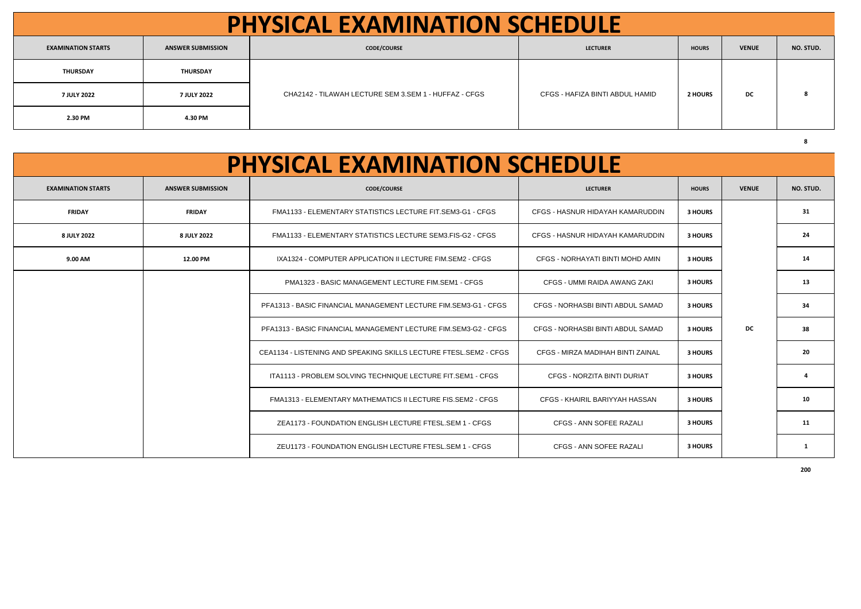| <b>PHYSICAL EXAMINATION SCHEDULE</b> |                          |                                                       |                                 |                |              |           |  |  |
|--------------------------------------|--------------------------|-------------------------------------------------------|---------------------------------|----------------|--------------|-----------|--|--|
| <b>EXAMINATION STARTS</b>            | <b>ANSWER SUBMISSION</b> | <b>CODE/COURSE</b>                                    | <b>LECTURER</b>                 | <b>HOURS</b>   | <b>VENUE</b> | NO. STUD. |  |  |
| THURSDAY                             | <b>THURSDAY</b>          |                                                       | CFGS - HAFIZA BINTI ABDUL HAMID | <b>2 HOURS</b> | DC           |           |  |  |
| 7 JULY 2022                          | 7 JULY 2022              | CHA2142 - TILAWAH LECTURE SEM 3.SEM 1 - HUFFAZ - CFGS |                                 |                |              |           |  |  |
| 2.30 PM                              | 4.30 PM                  |                                                       |                                 |                |              |           |  |  |

| <b>PHYSICAL EXAMINATION SCHEDULE</b> |                          |                                                                    |                                    |              |              |           |
|--------------------------------------|--------------------------|--------------------------------------------------------------------|------------------------------------|--------------|--------------|-----------|
| <b>EXAMINATION STARTS</b>            | <b>ANSWER SUBMISSION</b> | <b>CODE/COURSE</b>                                                 | <b>LECTURER</b>                    | <b>HOURS</b> | <b>VENUE</b> | NO. STUD. |
| <b>FRIDAY</b>                        | <b>FRIDAY</b>            | FMA1133 - ELEMENTARY STATISTICS LECTURE FIT.SEM3-G1 - CFGS         | CFGS - HASNUR HIDAYAH KAMARUDDIN   | 3 HOURS      |              | 31        |
| 8 JULY 2022                          | 8 JULY 2022              | FMA1133 - ELEMENTARY STATISTICS LECTURE SEM3.FIS-G2 - CFGS         | CFGS - HASNUR HIDAYAH KAMARUDDIN   | 3 HOURS      |              | 24        |
| 9.00 AM                              | 12.00 PM                 | IXA1324 - COMPUTER APPLICATION II LECTURE FIM.SEM2 - CFGS          | CFGS - NORHAYATI BINTI MOHD AMIN   | 3 HOURS      |              | 14        |
|                                      |                          | PMA1323 - BASIC MANAGEMENT LECTURE FIM.SEM1 - CFGS                 | CFGS - UMMI RAIDA AWANG ZAKI       | 3 HOURS      |              | 13        |
|                                      |                          | PFA1313 - BASIC FINANCIAL MANAGEMENT LECTURE FIM.SEM3-G1 - CFGS    | CFGS - NORHASBI BINTI ABDUL SAMAD  | 3 HOURS      |              | 34        |
|                                      |                          | PFA1313 - BASIC FINANCIAL MANAGEMENT LECTURE FIM.SEM3-G2 - CFGS    | CFGS - NORHASBI BINTI ABDUL SAMAD  | 3 HOURS      | DC.          | 38        |
|                                      |                          | CEA1134 - LISTENING AND SPEAKING SKILLS LECTURE FTESL.SEM2 - CFGS  | CFGS - MIRZA MADIHAH BINTI ZAINAL  | 3 HOURS      |              | 20        |
|                                      |                          | ITA1113 - PROBLEM SOLVING TECHNIQUE LECTURE FIT.SEM1 - CFGS        | <b>CFGS - NORZITA BINTI DURIAT</b> | 3 HOURS      |              |           |
|                                      |                          | <b>FMA1313 - ELEMENTARY MATHEMATICS II LECTURE FIS.SEM2 - CFGS</b> | CFGS - KHAIRIL BARIYYAH HASSAN     | 3 HOURS      |              | 10        |
|                                      |                          | ZEA1173 - FOUNDATION ENGLISH LECTURE FTESL.SEM 1 - CFGS            | CFGS - ANN SOFEE RAZALI            | 3 HOURS      |              | 11        |
|                                      |                          | ZEU1173 - FOUNDATION ENGLISH LECTURE FTESL.SEM 1 - CFGS            | CFGS - ANN SOFEE RAZALI            | 3 HOURS      |              |           |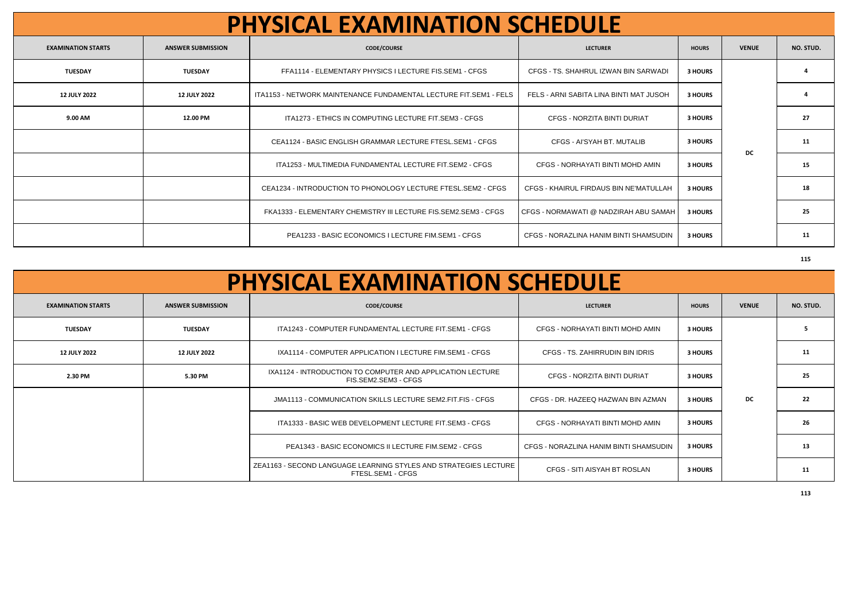| <b>PHYSICAL EXAMINATION SCHEDULE</b> |                          |                                                                   |                                         |              |              |           |
|--------------------------------------|--------------------------|-------------------------------------------------------------------|-----------------------------------------|--------------|--------------|-----------|
| <b>EXAMINATION STARTS</b>            | <b>ANSWER SUBMISSION</b> | <b>CODE/COURSE</b>                                                | <b>LECTURER</b>                         | <b>HOURS</b> | <b>VENUE</b> | NO. STUD. |
| <b>TUESDAY</b>                       | <b>TUESDAY</b>           | FFA1114 - ELEMENTARY PHYSICS I LECTURE FIS.SEM1 - CFGS            | CFGS - TS. SHAHRUL IZWAN BIN SARWADI    | 3 HOURS      |              |           |
| <b>12 JULY 2022</b>                  | <b>12 JULY 2022</b>      | ITA1153 - NETWORK MAINTENANCE FUNDAMENTAL LECTURE FIT.SEM1 - FELS | FELS - ARNI SABITA LINA BINTI MAT JUSOH | 3 HOURS      |              |           |
| 9.00 AM                              | 12.00 PM                 | ITA1273 - ETHICS IN COMPUTING LECTURE FIT.SEM3 - CFGS             | <b>CFGS - NORZITA BINTI DURIAT</b>      | 3 HOURS      |              | 27        |
|                                      |                          | CEA1124 - BASIC ENGLISH GRAMMAR LECTURE FTESL.SEM1 - CFGS         | CFGS - AI'SYAH BT, MUTALIB              | 3 HOURS      | DC           | 11        |
|                                      |                          | ITA1253 - MULTIMEDIA FUNDAMENTAL LECTURE FIT.SEM2 - CFGS          | CFGS - NORHAYATI BINTI MOHD AMIN        | 3 HOURS      |              | 15        |
|                                      |                          | CEA1234 - INTRODUCTION TO PHONOLOGY LECTURE FTESL.SEM2 - CFGS     | CFGS - KHAIRUL FIRDAUS BIN NE'MATULLAH  | 3 HOURS      |              | 18        |
|                                      |                          | FKA1333 - ELEMENTARY CHEMISTRY III LECTURE FIS.SEM2.SEM3 - CFGS   | CFGS - NORMAWATI @ NADZIRAH ABU SAMAH   | 3 HOURS      |              | 25        |
|                                      |                          | <b>PEA1233 - BASIC ECONOMICS I LECTURE FIM.SEM1 - CFGS</b>        | CFGS - NORAZLINA HANIM BINTI SHAMSUDIN  | 3 HOURS      |              | 11        |

| <b>PHYSICAL EXAMINATION SCHEDULE</b> |                          |                                                                                       |                                        |                |              |           |
|--------------------------------------|--------------------------|---------------------------------------------------------------------------------------|----------------------------------------|----------------|--------------|-----------|
| <b>EXAMINATION STARTS</b>            | <b>ANSWER SUBMISSION</b> | <b>CODE/COURSE</b>                                                                    | <b>LECTURER</b>                        | <b>HOURS</b>   | <b>VENUE</b> | NO. STUD. |
| <b>TUESDAY</b>                       | <b>TUESDAY</b>           | ITA1243 - COMPUTER FUNDAMENTAL LECTURE FIT.SEM1 - CFGS                                | CFGS - NORHAYATI BINTI MOHD AMIN       | 3 HOURS        |              | 5         |
| <b>12 JULY 2022</b>                  | <b>12 JULY 2022</b>      | IXA1114 - COMPUTER APPLICATION I LECTURE FIM.SEM1 - CFGS                              | CFGS - TS. ZAHIRRUDIN BIN IDRIS        | 3 HOURS        |              | 11        |
| 2.30 PM                              | 5.30 PM                  | IXA1124 - INTRODUCTION TO COMPUTER AND APPLICATION LECTURE<br>FIS.SEM2.SEM3 - CFGS    | CFGS - NORZITA BINTI DURIAT            | 3 HOURS        |              | 25        |
|                                      |                          | JMA1113 - COMMUNICATION SKILLS LECTURE SEM2.FIT.FIS - CFGS                            | CFGS - DR. HAZEEQ HAZWAN BIN AZMAN     | 3 HOURS        | <b>DC</b>    | 22        |
|                                      |                          | ITA1333 - BASIC WEB DEVELOPMENT LECTURE FIT.SEM3 - CFGS                               | CFGS - NORHAYATI BINTI MOHD AMIN       | 3 HOURS        |              | 26        |
|                                      |                          | PEA1343 - BASIC ECONOMICS II LECTURE FIM.SEM2 - CFGS                                  | CFGS - NORAZLINA HANIM BINTI SHAMSUDIN | 3 HOURS        |              | 13        |
|                                      |                          | ZEA1163 - SECOND LANGUAGE LEARNING STYLES AND STRATEGIES LECTURE<br>FTESL.SEM1 - CFGS | CFGS - SITI AISYAH BT ROSLAN           | <b>3 HOURS</b> |              | 11        |